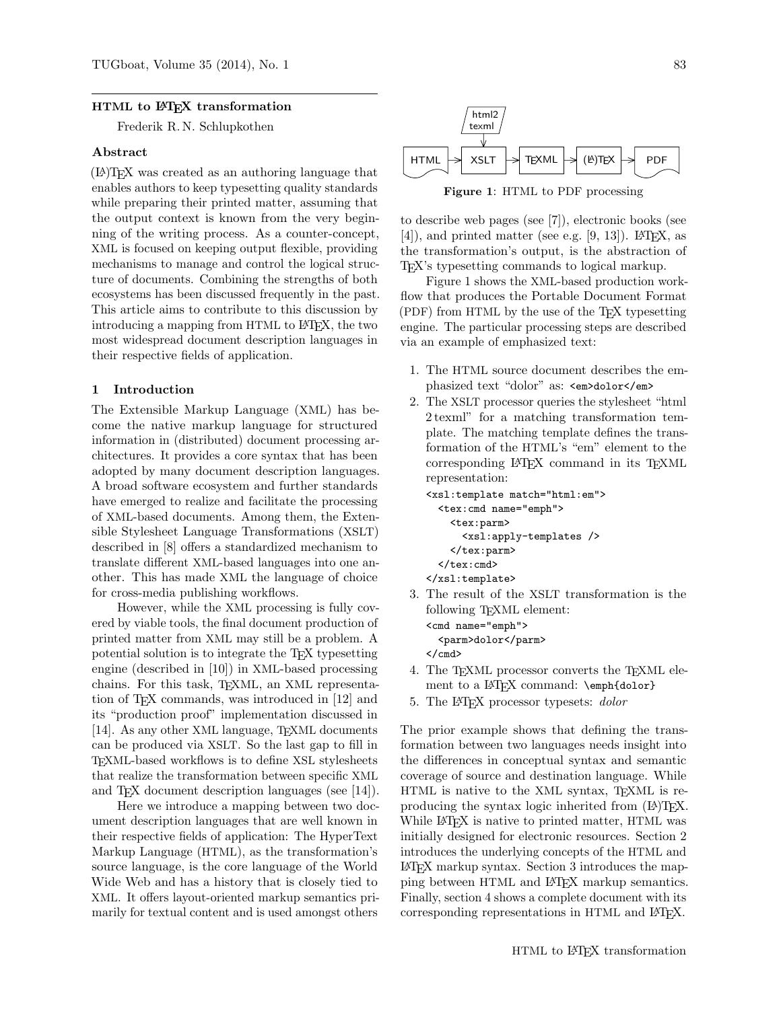### HTML to L<sup>AT</sup>FX transformation

Frederik R. N. Schlupkothen

### Abstract

(LA)TEX was created as an authoring language that enables authors to keep typesetting quality standards while preparing their printed matter, assuming that the output context is known from the very beginning of the writing process. As a counter-concept, XML is focused on keeping output flexible, providing mechanisms to manage and control the logical structure of documents. Combining the strengths of both ecosystems has been discussed frequently in the past. This article aims to contribute to this discussion by introducing a mapping from HTML to L<sup>AT</sup>FX, the two most widespread document description languages in their respective fields of application.

#### 1 Introduction

The Extensible Markup Language (XML) has become the native markup language for structured information in (distributed) document processing architectures. It provides a core syntax that has been adopted by many document description languages. A broad software ecosystem and further standards have emerged to realize and facilitate the processing of XML-based documents. Among them, the Extensible Stylesheet Language Transformations (XSLT) described in [\[8\]](#page-7-0) offers a standardized mechanism to translate different XML-based languages into one another. This has made XML the language of choice for cross-media publishing workflows.

However, while the XML processing is fully covered by viable tools, the final document production of printed matter from XML may still be a problem. A potential solution is to integrate the TEX typesetting engine (described in [\[10\]](#page-7-1)) in XML-based processing chains. For this task, TEXML, an XML representation of TEX commands, was introduced in [\[12\]](#page-7-2) and its "production proof" implementation discussed in [\[14\]](#page-7-3). As any other XML language, T<sub>E</sub>XML documents can be produced via XSLT. So the last gap to fill in TEXML-based workflows is to define XSL stylesheets that realize the transformation between specific XML and T<sub>E</sub>X document description languages (see [\[14\]](#page-7-3)).

Here we introduce a mapping between two document description languages that are well known in their respective fields of application: The HyperText Markup Language (HTML), as the transformation's source language, is the core language of the World Wide Web and has a history that is closely tied to XML. It offers layout-oriented markup semantics primarily for textual content and is used amongst others

<span id="page-0-0"></span>

Figure 1: HTML to PDF processing

to describe web pages (see [\[7\]](#page-7-4)), electronic books (see  $[4]$ , and printed matter (see e.g.  $[9, 13]$  $[9, 13]$  $[9, 13]$ ). LAT<sub>F</sub>X, as the transformation's output, is the abstraction of TEX's typesetting commands to logical markup.

Figure [1](#page-0-0) shows the XML-based production workflow that produces the Portable Document Format (PDF) from HTML by the use of the T<sub>F</sub>X typesetting engine. The particular processing steps are described via an example of emphasized text:

- 1. The HTML source document describes the emphasized text "dolor" as: <em>dolor</em>
- 2. The XSLT processor queries the stylesheet "html 2 texml" for a matching transformation template. The matching template defines the transformation of the HTML's "em" element to the corresponding LATEX command in its TEXML representation:

```
<xsl:template match="html:em">
 <tex:cmd name="emph">
    <tex:parm>
      <xsl:apply-templates />
    </tex:parm>
 \langle/tex: cmd>
</xsl:template>
```
3. The result of the XSLT transformation is the following T<sub>E</sub>XML element:

```
<cmd name="emph">
  <parm>dolor</parm>
</cmd>
```
- 4. The TEXML processor converts the TEXML element to a LATEX command: \emph{dolor}
- 5. The L<sup>AT</sup>FX processor typesets: *dolor*

The prior example shows that defining the transformation between two languages needs insight into the differences in conceptual syntax and semantic coverage of source and destination language. While HTML is native to the XML syntax, TEXML is reproducing the syntax logic inherited from  $(L<sup>A</sup>)$ T<sub>F</sub>X. While L<sup>A</sup>T<sub>F</sub>X is native to printed matter, HTML was initially designed for electronic resources. Section [2](#page-1-0) introduces the underlying concepts of the HTML and LATEX markup syntax. Section [3](#page-1-1) introduces the mapping between HTML and LATEX markup semantics. Finally, section [4](#page-5-0) shows a complete document with its corresponding representations in HTML and IATFX.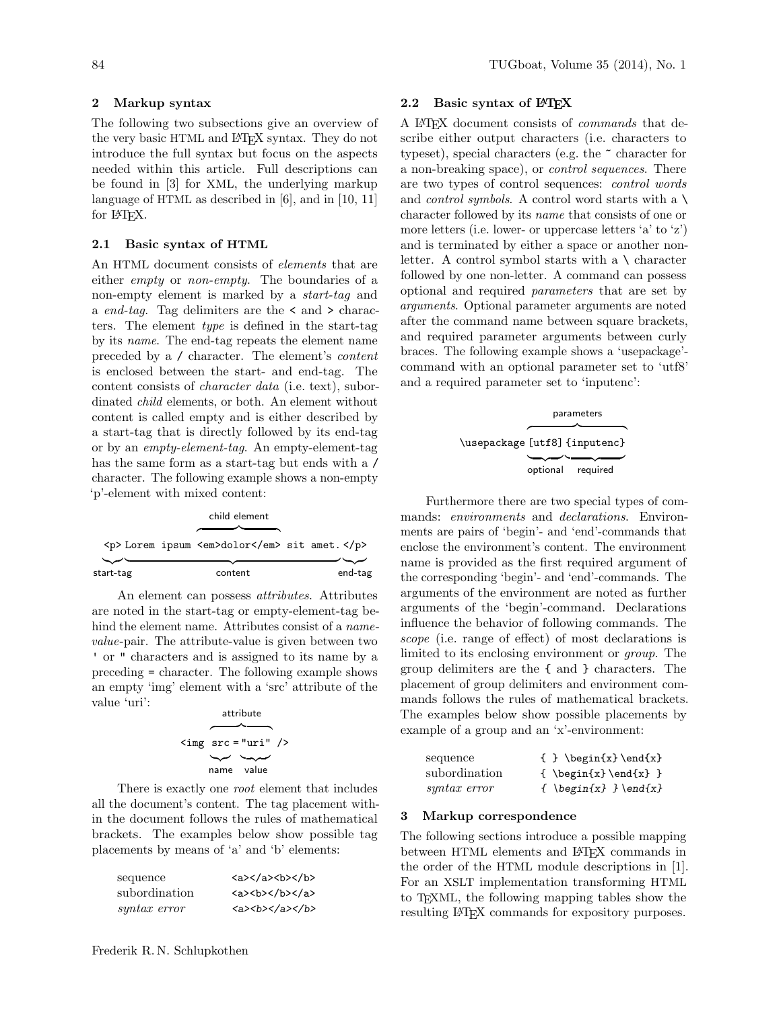# <span id="page-1-0"></span>2 Markup syntax

The following two subsections give an overview of the very basic HTML and LAT<sub>EX</sub> syntax. They do not introduce the full syntax but focus on the aspects needed within this article. Full descriptions can be found in [\[3\]](#page-7-8) for XML, the underlying markup language of HTML as described in [\[6\]](#page-7-9), and in [\[10,](#page-7-1) [11\]](#page-7-10) for L<sup>AT</sup>FX.

# 2.1 Basic syntax of HTML

An HTML document consists of elements that are either empty or non-empty. The boundaries of a non-empty element is marked by a start-tag and a end-tag. Tag delimiters are the  $\le$  and  $\ge$  characters. The element type is defined in the start-tag by its name. The end-tag repeats the element name preceded by a / character. The element's content is enclosed between the start- and end-tag. The content consists of character data (i.e. text), subordinated child elements, or both. An element without content is called empty and is either described by a start-tag that is directly followed by its end-tag or by an empty-element-tag. An empty-element-tag has the same form as a start-tag but ends with a / character. The following example shows a non-empty 'p'-element with mixed content:

child element

|           | $\langle p \rangle$ Lorem ipsum $\langle em \rangle$ dolor $\langle em \rangle$ sit amet. $\langle p \rangle$ |         |
|-----------|---------------------------------------------------------------------------------------------------------------|---------|
|           |                                                                                                               |         |
| start-tag | content                                                                                                       | end-tag |

An element can possess attributes. Attributes are noted in the start-tag or empty-element-tag behind the element name. Attributes consist of a *name*value-pair. The attribute-value is given between two ' or " characters and is assigned to its name by a preceding = character. The following example shows an empty 'img' element with a 'src' attribute of the value 'uri': attribute

|  | attribute                                  |  |
|--|--------------------------------------------|--|
|  |                                            |  |
|  | $\langle \text{img src} = "uri" / \rangle$ |  |
|  | —— <i>—</i>                                |  |
|  | name value                                 |  |

There is exactly one root element that includes all the document's content. The tag placement within the document follows the rules of mathematical brackets. The examples below show possible tag placements by means of 'a' and 'b' elements:

| sequence      | $\langle a \rangle \langle /a \rangle \langle b \rangle \langle /b \rangle$ |
|---------------|-----------------------------------------------------------------------------|
| subordination | $\langle a \rangle$<br>b>                                                   |
| syntax error  | <a><b></b></a>                                                              |

### 2.2 Basic syntax of LATEX

A LATEX document consists of commands that describe either output characters (i.e. characters to typeset), special characters (e.g. the ~ character for a non-breaking space), or control sequences. There are two types of control sequences: control words and *control symbols*. A control word starts with a  $\setminus$ character followed by its name that consists of one or more letters (i.e. lower- or uppercase letters 'a' to 'z') and is terminated by either a space or another nonletter. A control symbol starts with a \ character followed by one non-letter. A command can possess optional and required parameters that are set by arguments. Optional parameter arguments are noted after the command name between square brackets, and required parameter arguments between curly braces. The following example shows a 'usepackage' command with an optional parameter set to 'utf8' and a required parameter set to 'inputenc':

|                               | parameters        |
|-------------------------------|-------------------|
| \usepackage [utf8] {inputenc} |                   |
|                               |                   |
|                               | optional required |

Furthermore there are two special types of commands: environments and declarations. Environments are pairs of 'begin'- and 'end'-commands that enclose the environment's content. The environment name is provided as the first required argument of the corresponding 'begin'- and 'end'-commands. The arguments of the environment are noted as further arguments of the 'begin'-command. Declarations influence the behavior of following commands. The scope (i.e. range of effect) of most declarations is limited to its enclosing environment or group. The group delimiters are the { and } characters. The placement of group delimiters and environment commands follows the rules of mathematical brackets. The examples below show possible placements by example of a group and an 'x'-environment:

| sequence      | $\{ \} \begin{array}{c} \text{and} \{ x \} \end{array}$     |
|---------------|-------------------------------------------------------------|
| subordination | $\{\ \begin{array}{c}\end{array}\$                          |
| syntax error  | { $\begin{align} \begin{cases} x \end{cases} - \end{align}$ |

#### <span id="page-1-1"></span>3 Markup correspondence

The following sections introduce a possible mapping between HTML elements and L<sup>AT</sup>FX commands in the order of the HTML module descriptions in [\[1\]](#page-7-11). For an XSLT implementation transforming HTML to TEXML, the following mapping tables show the resulting LAT<sub>EX</sub> commands for expository purposes.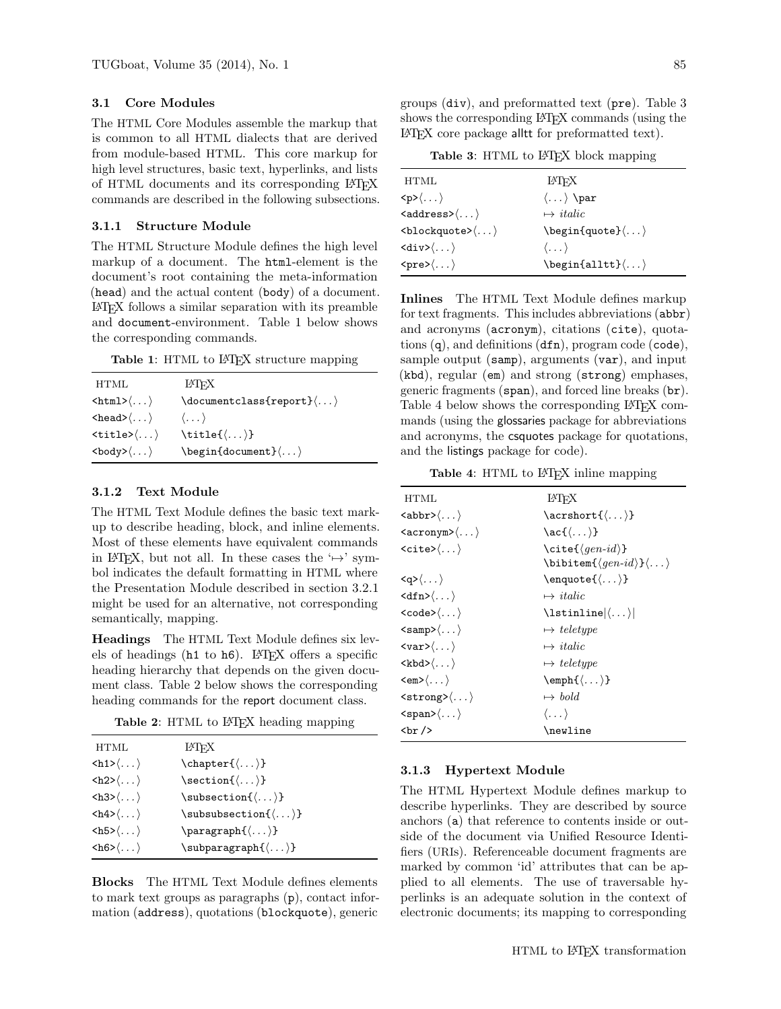# 3.1 Core Modules

The HTML Core Modules assemble the markup that is common to all HTML dialects that are derived from module-based HTML. This core markup for high level structures, basic text, hyperlinks, and lists of HTML documents and its corresponding LATEX commands are described in the following subsections.

### 3.1.1 Structure Module

The HTML Structure Module defines the high level markup of a document. The html-element is the document's root containing the meta-information (head) and the actual content (body) of a document. LATEX follows a similar separation with its preamble and document-environment. Table [1](#page-2-0) below shows the corresponding commands.

<span id="page-2-0"></span>Table 1: HTML to L<sup>AT</sup>FX structure mapping

| HTML                                                  | LATFX                                                         |
|-------------------------------------------------------|---------------------------------------------------------------|
| $\langle \texttt{html} \rangle \langle \dots \rangle$ | $\downarrow$ document class {report} $\langle \ldots \rangle$ |
| $\langle head \rangle \langle \dots \rangle$          | $\langle \ldots \rangle$                                      |
| $\langle\texttt{title}\rangle\langle\ldots\rangle$    | $\tilde{\langle \ldots \rangle}$                              |
| $\langle body \rangle \langle \dots \rangle$          |                                                               |

# 3.1.2 Text Module

The HTML Text Module defines the basic text markup to describe heading, block, and inline elements. Most of these elements have equivalent commands in LAT<sub>EX</sub>, but not all. In these cases the ' $\mapsto$ ' symbol indicates the default formatting in HTML where the Presentation Module described in section [3.2.1](#page-3-0) might be used for an alternative, not corresponding semantically, mapping.

Headings The HTML Text Module defines six levels of headings (h<sub>1</sub> to h<sub>6</sub>). L<sup>AT</sup>FX offers a specific heading hierarchy that depends on the given document class. Table [2](#page-2-1) below shows the corresponding heading commands for the report document class.

Table 2: HTML to L<sup>AT</sup>FX heading mapping

<span id="page-2-1"></span>

| HTML                                       | <b>IAT<sub>F</sub>X</b>                                |  |
|--------------------------------------------|--------------------------------------------------------|--|
| $\langle h1 \rangle \langle \dots \rangle$ | $\lambda$ :\chapter{ $\langle \ldots \rangle$ }        |  |
| $\langle h2\rangle\langle \dots \rangle$   | $\setminus \texttt{section} \{\langle \dots \rangle\}$ |  |
| $\langle h3\rangle\langle \dots \rangle$   | $\sub{\text{subsection} \{ \ldots \} }$                |  |
| $\langle h4 \rangle \langle \dots \rangle$ | $\sub{\text{subsubsection}(\dots)}$                    |  |
| $\langle h5 \rangle \langle \dots \rangle$ | $\text{parent}(\dots)$                                 |  |
| $\langle h6 \rangle \langle \dots \rangle$ | $\sum\limits_{\ldots}$                                 |  |
|                                            |                                                        |  |

Blocks The HTML Text Module defines elements to mark text groups as paragraphs (p), contact information (address), quotations (blockquote), generic

groups (div), and preformatted text (pre). Table [3](#page-2-2) shows the corresponding L<sup>AT</sup>FX commands (using the LATEX core package alltt for preformatted text).

Table 3: HTML to L<sup>AT</sup>FX block mapping

<span id="page-2-2"></span>

| HTML                                                      | LATFX                                                                      |
|-----------------------------------------------------------|----------------------------------------------------------------------------|
| $\langle p\rangle\langle \dots \rangle$                   | $\langle \dots \rangle$ \par                                               |
| $\langle \text{address} \rangle \langle \dots \rangle$    | $\mapsto$ <i>italic</i>                                                    |
| $\langle \text{blockquote} \rangle \langle \dots \rangle$ | $\begin{CD} \langle \cdot, \cdot \rangle \end{CD}$                         |
| $\langle \text{div} \rangle \langle \dots \rangle$        | $\langle \dots \rangle$                                                    |
| $\langle pre \rangle \langle \dots \rangle$               | $\begin{CD} \begin{cases} \Delta \text{lltt} \end{cases}, \ldots \end{CD}$ |

Inlines The HTML Text Module defines markup for text fragments. This includes abbreviations (abbr) and acronyms (acronym), citations (cite), quotations (q), and definitions (dfn), program code (code), sample output (samp), arguments (var), and input (kbd), regular (em) and strong (strong) emphases, generic fragments (span), and forced line breaks (br). Table [4](#page-2-3) below shows the corresponding LAT<sub>EX</sub> commands (using the glossaries package for abbreviations and acronyms, the csquotes package for quotations, and the listings package for code).

<span id="page-2-3"></span>Table 4: HTML to L<sup>AT</sup>EX inline mapping

| <b>HTML</b>                                           | LATFX                                              |
|-------------------------------------------------------|----------------------------------------------------|
| $\langle \text{abbr}\rangle \langle \dots \rangle$    | $\text{text}(\dots)$                               |
| $\langle \text{acronym}\rangle \langle \dots \rangle$ | $\ac{$ langle \dots \rangle}                       |
| $\langle\text{cite}\rangle\langle\ldots\rangle$       | $\setminus$ cite $\{\langle qen-id \rangle\}$      |
|                                                       | $\lambda$ ) \bibitem $\{\langle qen-id \rangle\}$  |
| $\langle q\rangle\langle \dots \rangle$               | $\emptyset$ ://enquote $\{\langle \dots \rangle\}$ |
| $\langle dfn\rangle\langle \dots \rangle$             | $\mapsto$ <i>italic</i>                            |
| $\langle code \rangle \langle \dots \rangle$          | $\langle \cdot, \cdot \rangle$                     |
| $\langle \texttt{samp} \rangle \langle \dots \rangle$ | $\mapsto$ teletype                                 |
| $\langle var \rangle \langle \dots \rangle$           | $\mapsto$ <i>italic</i>                            |
| $\langle kbd \rangle \langle \dots \rangle$           | $\mapsto$ teletype                                 |
| $\langle em \rangle \langle \dots \rangle$            | $\emptyset$ \emph{ $\langle \dots \rangle$ }       |
| $\langle \text{strong}\rangle \langle \dots \rangle$  | $\mapsto \text{ bold}$                             |
| $\langle \text{span}\rangle \langle \dots \rangle$    | $\langle \ldots \rangle$                           |
| br/                                                   | \newline                                           |

#### 3.1.3 Hypertext Module

The HTML Hypertext Module defines markup to describe hyperlinks. They are described by source anchors (a) that reference to contents inside or outside of the document via Unified Resource Identifiers (URIs). Referenceable document fragments are marked by common 'id' attributes that can be applied to all elements. The use of traversable hyperlinks is an adequate solution in the context of electronic documents; its mapping to corresponding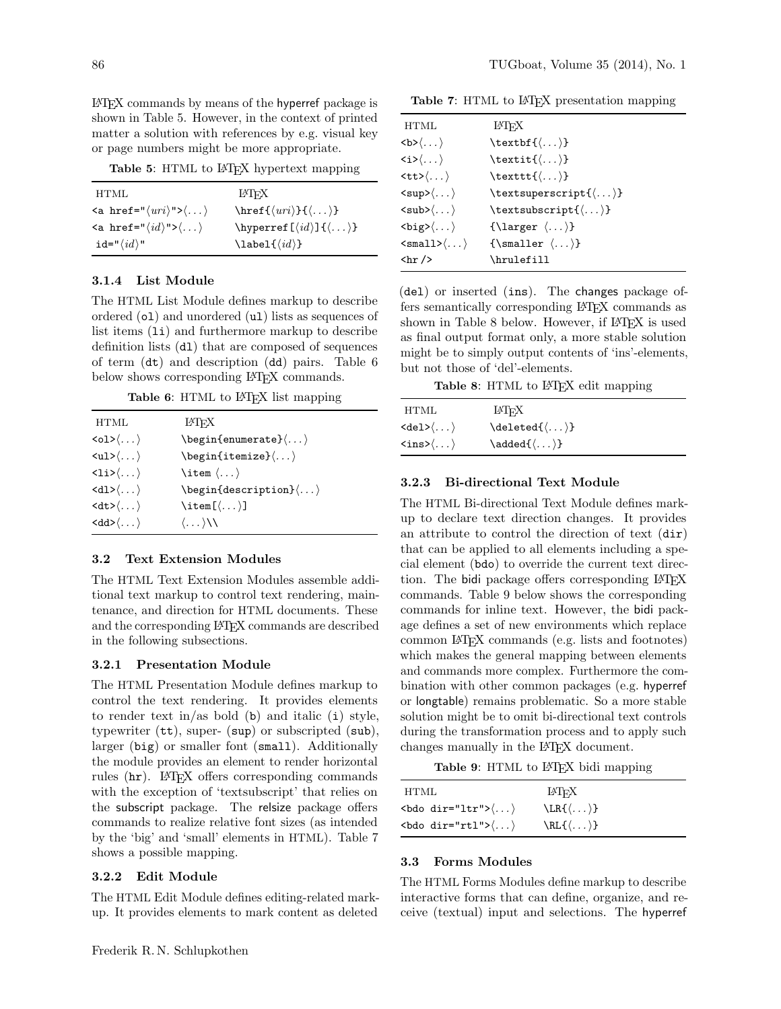LATEX commands by means of the hyperref package is shown in Table [5.](#page-3-1) However, in the context of printed matter a solution with references by e.g. visual key or page numbers might be more appropriate.

<span id="page-3-1"></span>Table 5: HTML to L<sup>AT</sup>FX hypertext mapping

| HTML.                                                                      | LATEX                                                    |
|----------------------------------------------------------------------------|----------------------------------------------------------|
| $\langle a \text{ href} = "\langle uri \rangle" > \langle \dots \rangle$   | \href{ $\langle uri\rangle$ }{ $\langle \dots \rangle$ } |
| $\langle a \rangle$ href=" $\langle id \rangle$ "> $\langle \dots \rangle$ | \hyperref[ $\{id\}$ ]{ $\langle \dots \rangle$ }         |
| id=" $\langle id \rangle$ "                                                | $\lambda$ label $\{\langle id \rangle\}$                 |

# 3.1.4 List Module

The HTML List Module defines markup to describe ordered (ol) and unordered (ul) lists as sequences of list items (1*i*) and furthermore markup to describe definition lists (dl) that are composed of sequences of term (dt) and description (dd) pairs. Table [6](#page-3-2) below shows corresponding LAT<sub>EX</sub> commands.

Table 6: HTML to L<sup>AT</sup>FX list mapping

<span id="page-3-2"></span>

| HTML                                            | LATFX                                                                                                                                                        |
|-------------------------------------------------|--------------------------------------------------------------------------------------------------------------------------------------------------------------|
| $\langle 01 \rangle \langle \dots \rangle$      | $\begin{cases} \frac{1}{2} & \text{otherwise} \end{cases}$                                                                                                   |
| $\langle \text{ul}\rangle\langle \dots \rangle$ | $\begin{CD} \begin{cases} \text{is} \end{cases} \begin{cases} \text{is} \end{cases} \begin{cases} \text{is} \end{cases} \begin{cases} \text{is} \end{cases}$ |
| $\langle 1i \rangle \langle \dots \rangle$      | $\iota$ : $\langle \ldots \rangle$                                                                                                                           |
| $\langle d1\rangle\langle \dots \rangle$        | $\begin{cases} \begin{cases} \text{description} \end{cases} \end{cases}$                                                                                     |
| $\langle dt \rangle \langle \dots \rangle$      | $\left\{ \ldots \right\}$                                                                                                                                    |
| $\langle dd \rangle \langle \dots \rangle$      | $\langle \dots \rangle$                                                                                                                                      |

### 3.2 Text Extension Modules

The HTML Text Extension Modules assemble additional text markup to control text rendering, maintenance, and direction for HTML documents. These and the corresponding LATEX commands are described in the following subsections.

### <span id="page-3-0"></span>3.2.1 Presentation Module

The HTML Presentation Module defines markup to control the text rendering. It provides elements to render text in/as bold  $(b)$  and italic  $(i)$  style, typewriter (tt), super- (sup) or subscripted (sub), larger (big) or smaller font (small). Additionally the module provides an element to render horizontal rules (hr). LAT<sub>F</sub>X offers corresponding commands with the exception of 'textsubscript' that relies on the subscript package. The relsize package offers commands to realize relative font sizes (as intended by the 'big' and 'small' elements in HTML). Table [7](#page-3-3) shows a possible mapping.

#### 3.2.2 Edit Module

The HTML Edit Module defines editing-related markup. It provides elements to mark content as deleted

<span id="page-3-3"></span>Table 7: HTML to L<sup>A</sup>T<sub>F</sub>X presentation mapping

| HTML                                               | LATFX                                              |
|----------------------------------------------------|----------------------------------------------------|
| $\langle b \rangle \langle \dots \rangle$          | \textbf{ $\langle \dots \rangle$ }                 |
| $\langle i \rangle \langle \dots \rangle$          | $\texttt{\langle} \dots \texttt{\rangle}$          |
| $\langle \texttt{tt}\rangle \langle \dots \rangle$ | $\texttt{\langle} \dots \texttt{\rangle}$          |
| $\langle \text{sup}\rangle\langle \dots \rangle$   | $\text{textsuperscript}\{\}$                       |
| $\langle sub \rangle \langle \dots \rangle$        | $\text{textsubscript{()}}$                         |
| $\langle \text{big}\rangle\langle \dots \rangle$   | $\{\langle \text{larger } \langle \dots \rangle\}$ |
| $\langle \text{small}\rangle\langle \dots \rangle$ | $\{\mathrm{smaller} \, \langle \ldots \rangle\}$   |
| $\{hr / \}$                                        | \hrulefill                                         |

(del) or inserted (ins). The changes package offers semantically corresponding LATEX commands as shown in Table [8](#page-3-4) below. However, if LAT<sub>EX</sub> is used as final output format only, a more stable solution might be to simply output contents of 'ins'-elements, but not those of 'del'-elements.

Table 8: HTML to L<sup>AT</sup>EX edit mapping

<span id="page-3-4"></span>

| HTML                                        | LATEX                           |  |
|---------------------------------------------|---------------------------------|--|
| $\langle de1 \rangle \langle \dots \rangle$ | $\delta(\ldots)$                |  |
| $\langle ins \rangle \langle \dots \rangle$ | $\added{\langle \dots \rangle}$ |  |

#### 3.2.3 Bi-directional Text Module

The HTML Bi-directional Text Module defines markup to declare text direction changes. It provides an attribute to control the direction of text (dir) that can be applied to all elements including a special element (bdo) to override the current text direction. The bidi package offers corresponding LATFX commands. Table [9](#page-3-5) below shows the corresponding commands for inline text. However, the bidi package defines a set of new environments which replace common LATEX commands (e.g. lists and footnotes) which makes the general mapping between elements and commands more complex. Furthermore the combination with other common packages (e.g. hyperref or longtable) remains problematic. So a more stable solution might be to omit bi-directional text controls during the transformation process and to apply such changes manually in the LATEX document.

Table 9: HTML to L<sup>AT</sup>FX bidi mapping

<span id="page-3-5"></span>

| HTML                                             | LATFX                         |  |
|--------------------------------------------------|-------------------------------|--|
| $\langle$ bdo dir="ltr"> $\langle \dots \rangle$ | $\LR{\langle \dots \rangle\}$ |  |
| $\langle$ bdo dir="rtl"> $\langle \dots \rangle$ | $\RL{\langle \dots \rangle}$  |  |

### 3.3 Forms Modules

The HTML Forms Modules define markup to describe interactive forms that can define, organize, and receive (textual) input and selections. The hyperref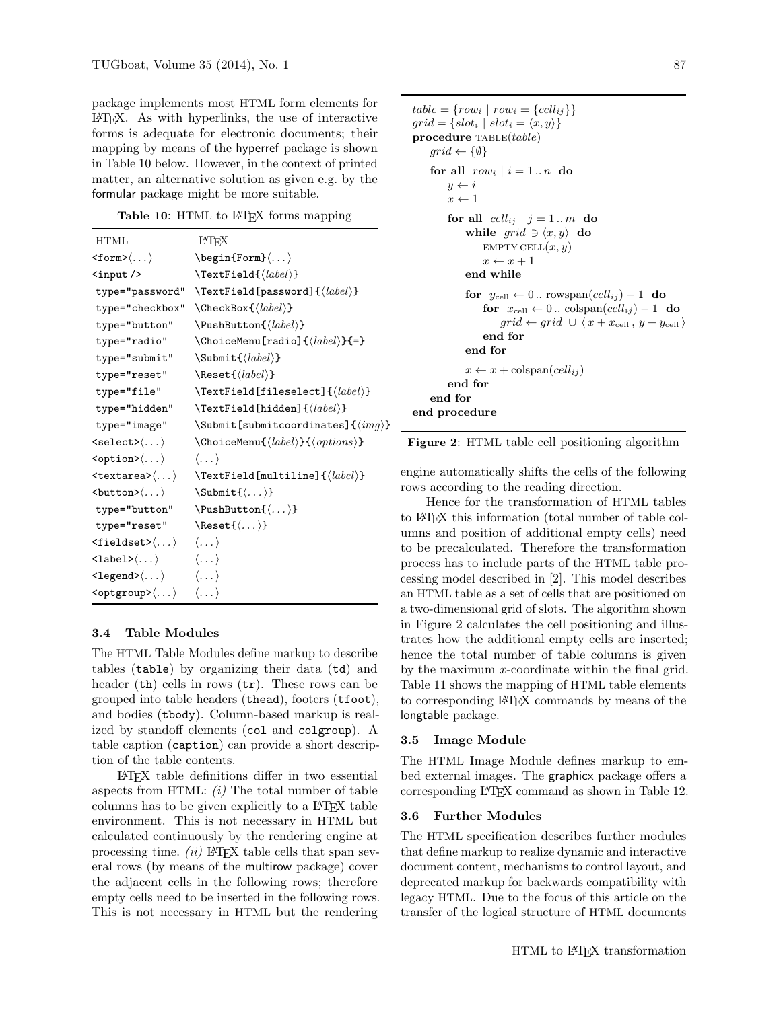package implements most HTML form elements for LATEX. As with hyperlinks, the use of interactive forms is adequate for electronic documents; their mapping by means of the hyperref package is shown in Table [10](#page-4-0) below. However, in the context of printed matter, an alternative solution as given e.g. by the formular package might be more suitable.

<span id="page-4-0"></span>Table 10: HTML to L<sup>AT</sup>EX forms mapping

| <b>HTML</b>                                                                             | LATFX                                                             |
|-----------------------------------------------------------------------------------------|-------------------------------------------------------------------|
| $\texttt{form}\texttt{>}\langle\ldots\rangle$                                           | $\begin{bmatrix} \text{Form} \langle \dots \rangle \end{bmatrix}$ |
| <input/>                                                                                | $\text{TextField}(label)$                                         |
|                                                                                         | type="password" \TextField[password]{ $\langle label \rangle$ }   |
|                                                                                         | type="checkbox" \CheckBox{ $\langle label \rangle$ }              |
|                                                                                         | type="button" \PushButton{ $\langle label \rangle$ }              |
| type="radio"                                                                            | $\Lambda$ ChoiceMenu[radio]{ $\langle label \rangle$ }{=}         |
| type="submit"                                                                           | $\mathcal{S} \mathsf{ulmat}(\mathit{label})$                      |
| type="reset"                                                                            | $\textcal{}(label)$                                               |
| type="file"                                                                             | $\text{TextField[fileselect]{\textbf{label}}$                     |
| type="hidden"                                                                           | $\text{TextField}$ [hidden]{ $\langle label \rangle$ }            |
| type="image"                                                                            | $\Lambda$ Submit [submit coordinates] $\{\langle img \rangle\}$   |
| $\texttt{\texttt{select}}\texttt{\langle} \dots \texttt{\rangle}$                       | $\Lambda \$                                                       |
| $\verb > $ $\rangle$                                                                    | $\langle \ldots \rangle$                                          |
|                                                                                         | $\verb    \verb > TextField[multiline]{\langle label\rangle} $    |
| $\langle$ button> $\langle \dots \rangle$                                               | $\verb \Submit{<\}$                                               |
| type="button"                                                                           | $\text{PushButton}(\dots)$                                        |
| type="reset"                                                                            | $\text{Reset}\{ \langle \dots \rangle \}$                         |
| $\langle\texttt{fieldset}\rangle\langle\ldots\rangle\hspace{0.4cm}\langle\ldots\rangle$ |                                                                   |
| $\langle \texttt{label}\rangle\langle \ldots \rangle$                                   |                                                                   |
| $\langle \text{Legend}\rangle \langle \dots \rangle$ $\langle \dots \rangle$            |                                                                   |
| $\texttt{}\langle \dots \rangle \quad \langle \dots \rangle$                            |                                                                   |

# 3.4 Table Modules

The HTML Table Modules define markup to describe tables (table) by organizing their data (td) and header (th) cells in rows (tr). These rows can be grouped into table headers (thead), footers (tfoot), and bodies (tbody). Column-based markup is realized by standoff elements (col and colgroup). A table caption (caption) can provide a short description of the table contents.

LATEX table definitions differ in two essential aspects from HTML:  $(i)$  The total number of table columns has to be given explicitly to a LATEX table environment. This is not necessary in HTML but calculated continuously by the rendering engine at processing time.  $(ii)$  LAT<sub>E</sub>X table cells that span several rows (by means of the multirow package) cover the adjacent cells in the following rows; therefore empty cells need to be inserted in the following rows. This is not necessary in HTML but the rendering

```
table = \{row_i | row_i = \{cell_{ij}\}\}\grid = \{slot_i \mid slot_i = \langle x, y \rangle\}procedure TABLE(table)grid \leftarrow \{\emptyset\}for all row_i | i = 1..n do
         y \leftarrow ix \leftarrow 1for all cell_{ij} | j = 1...m do
              while grid \ni \langle x, y \rangle do
                   EMPTY CELL(x, y)x \leftarrow x + 1end while
              for y_{cell} \leftarrow 0.. rowspan(cell_{ij}) - 1 do
                   for x_{cell} \leftarrow 0.. colspan\text{(cell}_{ij}) - 1 do
                       grid \leftarrow grid \cup \langle x + x_{cell}, y + y_{cell} \rangleend for
              end for
              x \leftarrow x + \text{colspan}(cell_{ij})end for
    end for
end procedure
```


engine automatically shifts the cells of the following rows according to the reading direction.

Hence for the transformation of HTML tables to LATEX this information (total number of table columns and position of additional empty cells) need to be precalculated. Therefore the transformation process has to include parts of the HTML table processing model described in [\[2\]](#page-7-12). This model describes an HTML table as a set of cells that are positioned on a two-dimensional grid of slots. The algorithm shown in Figure [2](#page-4-1) calculates the cell positioning and illustrates how the additional empty cells are inserted; hence the total number of table columns is given by the maximum  $x$ -coordinate within the final grid. Table [11](#page-5-1) shows the mapping of HTML table elements to corresponding LATEX commands by means of the longtable package.

#### 3.5 Image Module

The HTML Image Module defines markup to embed external images. The graphicx package offers a corresponding LAT<sub>F</sub>X command as shown in Table [12.](#page-5-2)

### 3.6 Further Modules

The HTML specification describes further modules that define markup to realize dynamic and interactive document content, mechanisms to control layout, and deprecated markup for backwards compatibility with legacy HTML. Due to the focus of this article on the transfer of the logical structure of HTML documents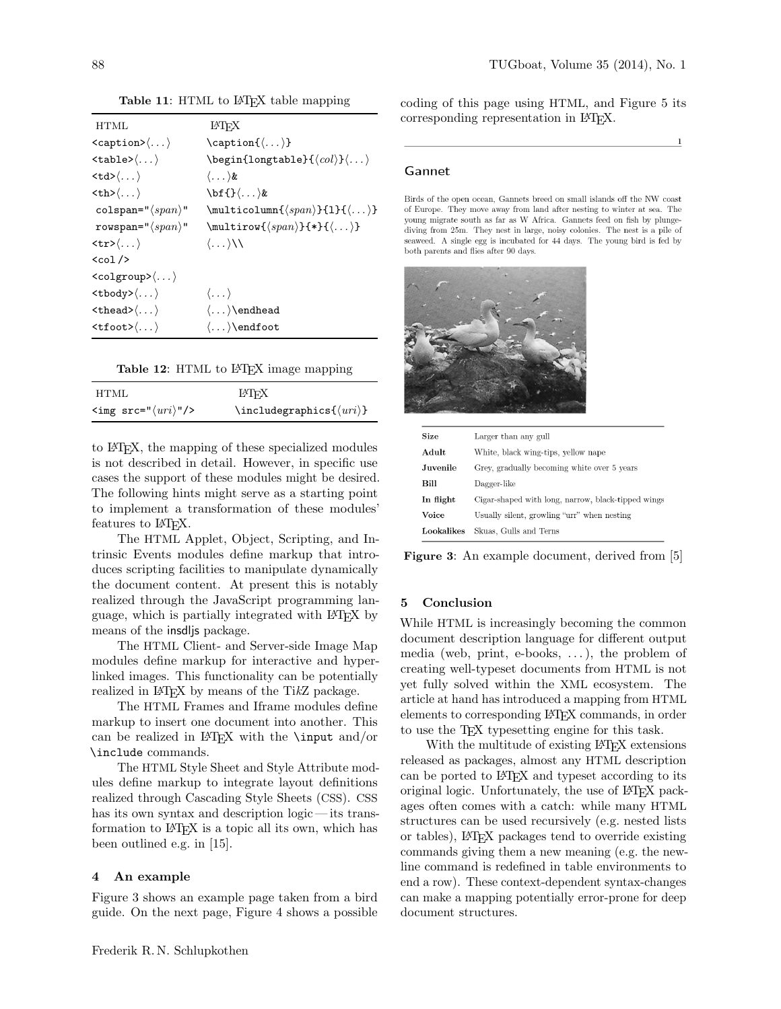<span id="page-5-1"></span>

| HTML                                                   | LATFX                                                                             |
|--------------------------------------------------------|-----------------------------------------------------------------------------------|
| $\langle \text{caption}\rangle\langle \dots \rangle$   | $\ \ \ \ \$ {(\ldots)\}                                                           |
| $\langle \texttt{table}\rangle\langle \dots \rangle$   | $\begin{CD} \begin{CD} \begin{CD} \begin{CD} \end{CD} \end{CD} \end{CD} \end{CD}$ |
| $\langle \text{td}\rangle\langle \dots \rangle$        | $\langle \dots \rangle$ &                                                         |
| $\langle \text{th}\rangle\langle \dots \rangle$        |                                                                                   |
| colspan=" $\langle span \rangle$ "                     | $\mathcal{S}(span{\forall span\}$ {1}{ $\langle \dots \rangle$ }                  |
| rowspan=" $\langle span \rangle$ "                     | $\mathcal{S}(span){\mathcal{F}_{*}}({\ldots})$                                    |
| $\langle \text{tr} \rangle \langle \dots \rangle$      | $\langle \dots \rangle$                                                           |
| $<$ col $/$                                            |                                                                                   |
| $\langle \text{colgroup}\rangle \langle \dots \rangle$ |                                                                                   |
| $\langle \text{tbody} \rangle \langle \dots \rangle$   | $\langle \dots \rangle$                                                           |
| $\langle \text{thead}\rangle \langle \dots \rangle$    | $\langle \dots \rangle$ endhead                                                   |
| $\langle \texttt{tfoot} \rangle \langle \dots \rangle$ | $\langle \dots \rangle$ end foot                                                  |

Table 11: HTML to L<sup>AT</sup>FX table mapping

| Table 12: HTML to L <sup>AT</sup> EX image mapping |  |
|----------------------------------------------------|--|
|----------------------------------------------------|--|

<span id="page-5-2"></span>

| HTML                                       | LATFX                                            |
|--------------------------------------------|--------------------------------------------------|
| $\langle \text{img src} = "(uri)" \rangle$ | $\in$ lincludegraphics $\{\langle uri \rangle\}$ |

to LATEX, the mapping of these specialized modules is not described in detail. However, in specific use cases the support of these modules might be desired. The following hints might serve as a starting point to implement a transformation of these modules' features to L<sup>AT</sup>FX.

The HTML Applet, Object, Scripting, and Intrinsic Events modules define markup that introduces scripting facilities to manipulate dynamically the document content. At present this is notably realized through the JavaScript programming language, which is partially integrated with LATEX by means of the insdljs package.

The HTML Client- and Server-side Image Map modules define markup for interactive and hyperlinked images. This functionality can be potentially realized in LAT<sub>EX</sub> by means of the TikZ package.

The HTML Frames and Iframe modules define markup to insert one document into another. This can be realized in LAT<sub>F</sub>X with the  $\infty$  and/or \include commands.

The HTML Style Sheet and Style Attribute modules define markup to integrate layout definitions realized through Cascading Style Sheets (CSS). CSS has its own syntax and description logic—its transformation to LAT<sub>EX</sub> is a topic all its own, which has been outlined e.g. in [\[15\]](#page-7-13).

### <span id="page-5-0"></span>4 An example

Figure [3](#page-5-3) shows an example page taken from a bird guide. On the next page, Figure [4](#page-6-0) shows a possible <span id="page-5-3"></span>coding of this page using HTML, and Figure [5](#page-6-1) its corresponding representation in L<sup>AT</sup>FX.

#### Gannet

Birds of the open ocean, Gannets breed on small islands off the NW coast of Europe. They move away from land after nesting to winter at sea. The young migrate south as far as W Africa. Gannets feed on fish by plungediving from 25m. They nest in large, noisy colonies. The nest is a pile of seaweed. A single egg is incubated for 44 days. The young bird is fed by both parents and flies after 90 days.



| Size       | Larger than any gull                               |
|------------|----------------------------------------------------|
| Adult      | White, black wing-tips, yellow nape                |
| Juvenile   | Grey, gradually becoming white over 5 years        |
| Bill       | Dagger-like                                        |
| In flight  | Cigar-shaped with long, narrow, black-tipped wings |
| Voice      | Usually silent, growling "urr" when nesting        |
| Lookalikes | Skuas, Gulls and Terns                             |

Figure 3: An example document, derived from [\[5\]](#page-7-14)

# 5 Conclusion

While HTML is increasingly becoming the common document description language for different output media (web, print, e-books,  $\dots$ ), the problem of creating well-typeset documents from HTML is not yet fully solved within the XML ecosystem. The article at hand has introduced a mapping from HTML elements to corresponding LATEX commands, in order to use the TEX typesetting engine for this task.

With the multitude of existing LAT<sub>EX</sub> extensions released as packages, almost any HTML description can be ported to L<sup>AT</sup>FX and typeset according to its original logic. Unfortunately, the use of LATEX packages often comes with a catch: while many HTML structures can be used recursively (e.g. nested lists or tables), LATEX packages tend to override existing commands giving them a new meaning (e.g. the newline command is redefined in table environments to end a row). These context-dependent syntax-changes can make a mapping potentially error-prone for deep document structures.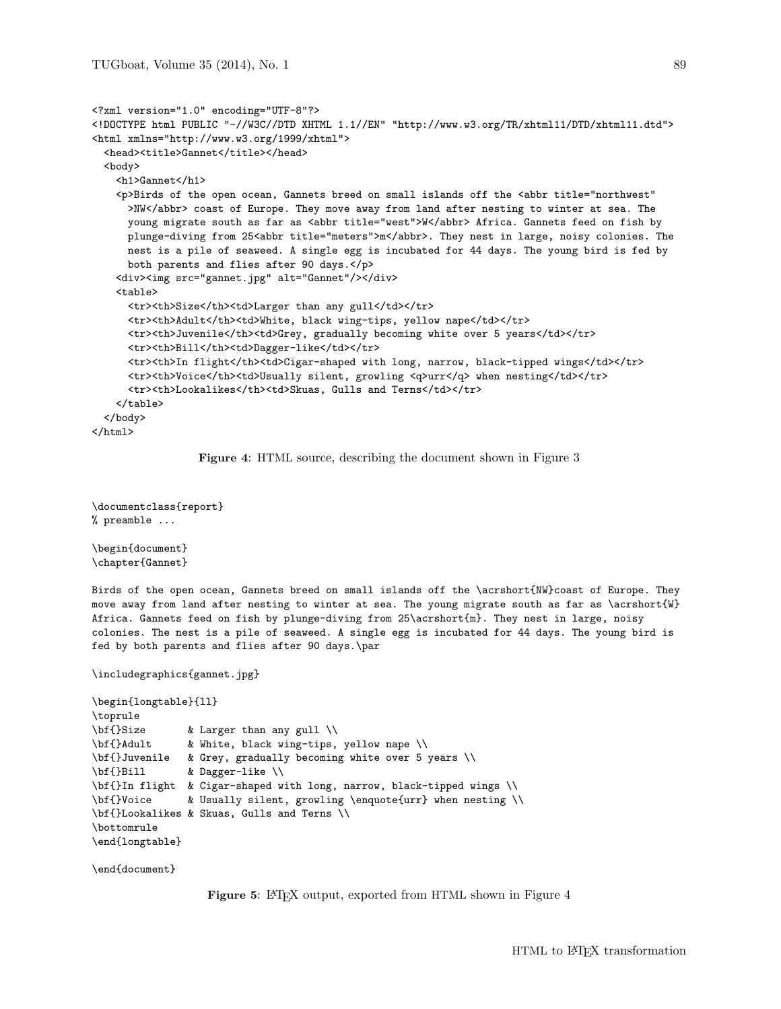```
<?xml version="1.0" encoding="UTF-8"?>
<!DOCTYPE html PUBLIC "-//W3C//DTD XHTML 1.1//EN" "http://www.w3.org/TR/xhtml11/DTD/xhtml11.dtd">
<html xmlns="http://www.w3.org/1999/xhtml">
  <head><title>Gannet</title></head>
  <body>
    <h1>Gannet</h1>
    <p>Birds of the open ocean, Gannets breed on small islands off the <abbr title="northwest"
     >NW</abbr> coast of Europe. They move away from land after nesting to winter at sea. The
     young migrate south as far as <abbr title="west">W</abbr> Africa. Gannets feed on fish by
     plunge-diving from 25<abbr title="meters">m</abbr>. They nest in large, noisy colonies. The
     nest is a pile of seaweed. A single egg is incubated for 44 days. The young bird is fed by
     both parents and flies after 90 days.</p>
    <div><img src="gannet.jpg" alt="Gannet"/></div>
    <table>
     <tr>>th>Size</th><td>Larger than any gull</td></tr>
     <tr><th>Adult</th><td>White, black wing-tips, yellow nape</td></tr>
     <tr><th>Juvenile</th><td>Grey, gradually becoming white over 5 years</td></tr>
     <tr>><th>Bill</th><td>Dagger-like</td></tr>
      <tr><th>In flight</th><td>Cigar-shaped with long, narrow, black-tipped wings</td></tr>
      <tr><th>Voice</th><td>Usually silent, growling <q>urr</q> when nesting</td></tr>
      <tr><th>Lookalikes</th><td>Skuas, Gulls and Terns</td></tr>
    \langle/table>
  </body>
</html>
```
Figure 4: HTML source, describing the document shown in Figure [3](#page-5-3)

```
\documentclass{report}
% preamble ...
```
\begin{document} \chapter{Gannet}

Birds of the open ocean, Gannets breed on small islands off the \acrshort{NW}coast of Europe. They move away from land after nesting to winter at sea. The young migrate south as far as \acrshort{W} Africa. Gannets feed on fish by plunge-diving from 25\acrshort{m}. They nest in large, noisy colonies. The nest is a pile of seaweed. A single egg is incubated for 44 days. The young bird is fed by both parents and flies after 90 days.\par

\includegraphics{gannet.jpg}

```
\begin{longtable}{ll}
\toprule
\bf{}Size & Larger than any gull \\
\bf{}Adult & White, black wing-tips, yellow nape \\
\bf{}Juvenile & Grey, gradually becoming white over 5 years \\
\bf{}Bill & Dagger-like \\
\bf{}In flight & Cigar-shaped with long, narrow, black-tipped wings \\
\bf{}Voice & Usually silent, growling \enquote{urr} when nesting \\
\bf{}Lookalikes & Skuas, Gulls and Terns \\
\bottomrule
\end{longtable}
```
\end{document}

Figure 5: LAT<sub>E</sub>X output, exported from HTML shown in Figure [4](#page-6-0)